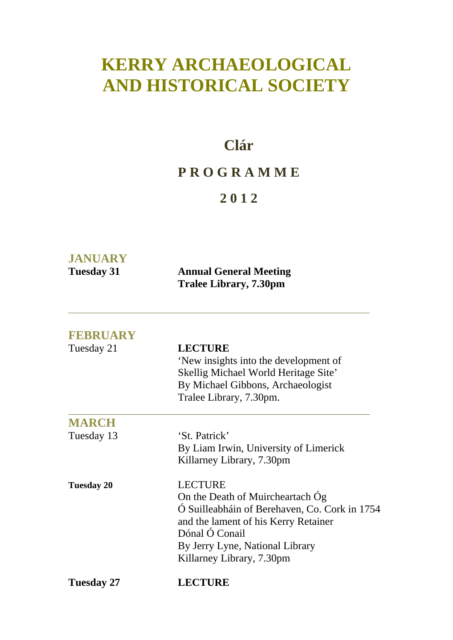# **KERRY ARCHAEOLOGICAL AND HISTORICAL SOCIETY**

### **Clár**

### **P R O G R A M M E**

### **2 0 1 2**

| <b>JANUARY</b> |                                                         |
|----------------|---------------------------------------------------------|
| Tuesday 31     | <b>Annual General Meeting</b><br>Tralee Library, 7.30pm |

**FEBRUARY** 

| FEBRUARY          |                                                                                                 |
|-------------------|-------------------------------------------------------------------------------------------------|
| Tuesday 21        | <b>LECTURE</b><br>'New insights into the development of<br>Skellig Michael World Heritage Site' |
|                   | By Michael Gibbons, Archaeologist                                                               |
|                   | Tralee Library, 7.30pm.                                                                         |
| <b>MARCH</b>      |                                                                                                 |
| Tuesday 13        | 'St. Patrick'                                                                                   |
|                   | By Liam Irwin, University of Limerick                                                           |
|                   | Killarney Library, 7.30pm                                                                       |
| <b>Tuesday 20</b> | <b>LECTURE</b>                                                                                  |
|                   | On the Death of Muircheartach Og                                                                |
|                   | Ó Suilleabháin of Berehaven, Co. Cork in 1754                                                   |
|                   | and the lament of his Kerry Retainer                                                            |
|                   | Dónal Ó Conail                                                                                  |
|                   | By Jerry Lyne, National Library                                                                 |
|                   | Killarney Library, 7.30pm                                                                       |
| <b>Tuesday 27</b> | <b>LECTURE</b>                                                                                  |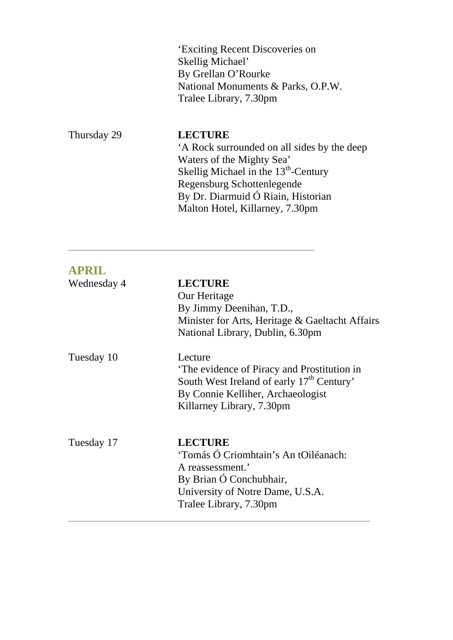'Exciting Recent Discoveries on Skellig Michael' By Grellan O'Rourke National Monuments & Parks, O.P.W. Tralee Library, 7.30pm

Thursday 29 **LECTURE** 

l.

 'A Rock surrounded on all sides by the deep Waters of the Mighty Sea' Skellig Michael in the 13<sup>th</sup>-Century Regensburg Schottenlegende By Dr. Diarmuid Ó Riain, Historian Malton Hotel, Killarney, 7.30pm

| <b>APRIL</b> |                                                                                                                                                                                  |
|--------------|----------------------------------------------------------------------------------------------------------------------------------------------------------------------------------|
| Wednesday 4  | <b>LECTURE</b><br>Our Heritage<br>By Jimmy Deenihan, T.D.,<br>Minister for Arts, Heritage & Gaeltacht Affairs<br>National Library, Dublin, 6.30pm                                |
| Tuesday 10   | Lecture<br>The evidence of Piracy and Prostitution in<br>South West Ireland of early 17 <sup>th</sup> Century'<br>By Connie Kelliher, Archaeologist<br>Killarney Library, 7.30pm |
| Tuesday 17   | <b>LECTURE</b><br>'Tomás Ó Criomhtain's An tOiléanach:<br>A reassessment.'<br>By Brian Ó Conchubhair,<br>University of Notre Dame, U.S.A.<br>Tralee Library, 7.30pm              |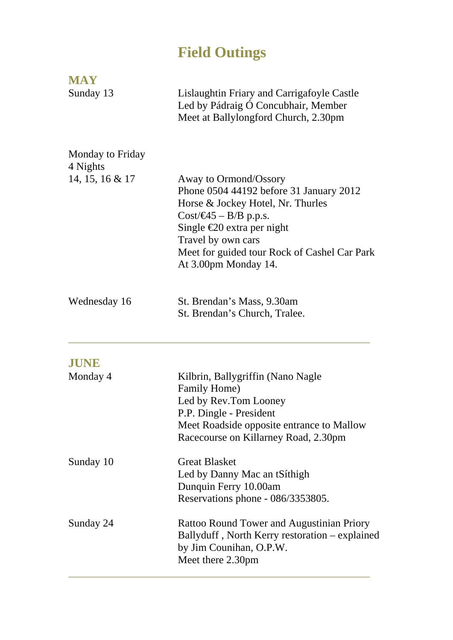## **Field Outings**

| <b>MAY</b>                   |                                                                                                                                                                                                                                                                       |
|------------------------------|-----------------------------------------------------------------------------------------------------------------------------------------------------------------------------------------------------------------------------------------------------------------------|
| Sunday 13                    | Lislaughtin Friary and Carrigafoyle Castle<br>Led by Pádraig Ó Concubhair, Member<br>Meet at Ballylongford Church, 2.30pm                                                                                                                                             |
| Monday to Friday<br>4 Nights |                                                                                                                                                                                                                                                                       |
| 14, 15, 16 & 17              | Away to Ormond/Ossory<br>Phone 0504 44192 before 31 January 2012<br>Horse & Jockey Hotel, Nr. Thurles<br>$Cost/45 - B/B$ p.p.s.<br>Single $\epsilon$ 20 extra per night<br>Travel by own cars<br>Meet for guided tour Rock of Cashel Car Park<br>At 3.00pm Monday 14. |
| Wednesday 16                 | St. Brendan's Mass, 9.30am<br>St. Brendan's Church, Tralee.                                                                                                                                                                                                           |
| <b>JUNE</b>                  |                                                                                                                                                                                                                                                                       |
| Monday 4                     | Kilbrin, Ballygriffin (Nano Nagle<br>Family Home)<br>Led by Rev.Tom Looney<br>P.P. Dingle - President<br>Meet Roadside opposite entrance to Mallow<br>Racecourse on Killarney Road, 2.30pm                                                                            |
| Sunday 10                    | <b>Great Blasket</b><br>Led by Danny Mac an tSíthigh<br>Dunquin Ferry 10.00am<br>Reservations phone - 086/3353805.                                                                                                                                                    |
| Sunday 24                    | <b>Rattoo Round Tower and Augustinian Priory</b><br>Ballyduff, North Kerry restoration – explained<br>by Jim Counihan, O.P.W.<br>Meet there 2.30pm                                                                                                                    |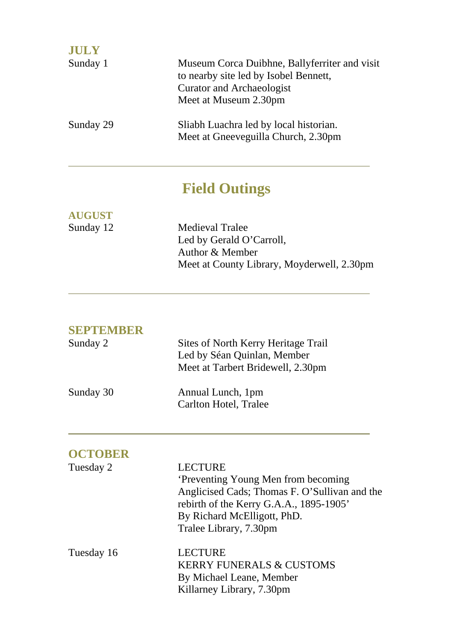| <b>JULY</b> |                                                                                                                                                     |
|-------------|-----------------------------------------------------------------------------------------------------------------------------------------------------|
| Sunday 1    | Museum Corca Duibhne, Ballyferriter and visit<br>to nearby site led by Isobel Bennett,<br><b>Curator and Archaeologist</b><br>Meet at Museum 2.30pm |
| Sunday 29   | Sliabh Luachra led by local historian.<br>Meet at Gneeveguilla Church, 2.30pm                                                                       |

# **Field Outings**

| <b>AUGUST</b> |                                            |
|---------------|--------------------------------------------|
| Sunday 12     | <b>Medieval Tralee</b>                     |
|               | Led by Gerald O'Carroll,                   |
|               | Author & Member                            |
|               | Meet at County Library, Moyderwell, 2.30pm |
|               |                                            |

### **SEPTEMBER**

 $\overline{a}$ 

 $\overline{a}$ 

| Sunday 2  | Sites of North Kerry Heritage Trail<br>Led by Séan Quinlan, Member<br>Meet at Tarbert Bridewell, 2.30pm |
|-----------|---------------------------------------------------------------------------------------------------------|
| Sunday 30 | Annual Lunch, 1pm<br>Carlton Hotel, Tralee                                                              |

| <b>OCTOBER</b> |                                                                                                                                                                                                            |
|----------------|------------------------------------------------------------------------------------------------------------------------------------------------------------------------------------------------------------|
| Tuesday 2      | <b>LECTURE</b><br>'Preventing Young Men from becoming<br>Anglicised Cads; Thomas F. O'Sullivan and the<br>rebirth of the Kerry G.A.A., 1895-1905'<br>By Richard McElligott, PhD.<br>Tralee Library, 7.30pm |
| Tuesday 16     | <b>LECTURE</b><br><b>KERRY FUNERALS &amp; CUSTOMS</b><br>By Michael Leane, Member<br>Killarney Library, 7.30pm                                                                                             |